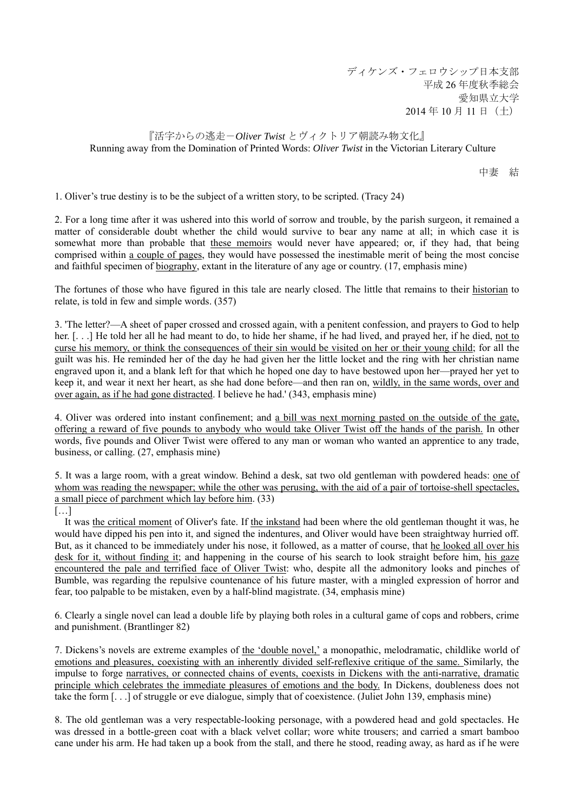ディケンズ・フェロウシップ日本支部 平成 26 年度秋季総会 愛知県立大学 2014 年 10 月 11 日(土)

## 『活字からの逃走-*Oliver Twist* とヴィクトリア朝読み物文化』 Running away from the Domination of Printed Words: *Oliver Twist* in the Victorian Literary Culture

中妻 結

1. Oliver's true destiny is to be the subject of a written story, to be scripted. (Tracy 24)

2. For a long time after it was ushered into this world of sorrow and trouble, by the parish surgeon, it remained a matter of considerable doubt whether the child would survive to bear any name at all; in which case it is somewhat more than probable that these memoirs would never have appeared; or, if they had, that being comprised within a couple of pages, they would have possessed the inestimable merit of being the most concise and faithful specimen of biography, extant in the literature of any age or country. (17, emphasis mine)

The fortunes of those who have figured in this tale are nearly closed. The little that remains to their historian to relate, is told in few and simple words. (357)

3. 'The letter?—A sheet of paper crossed and crossed again, with a penitent confession, and prayers to God to help her. [...] He told her all he had meant to do, to hide her shame, if he had lived, and prayed her, if he died, not to curse his memory, or think the consequences of their sin would be visited on her or their young child; for all the guilt was his. He reminded her of the day he had given her the little locket and the ring with her christian name engraved upon it, and a blank left for that which he hoped one day to have bestowed upon her—prayed her yet to keep it, and wear it next her heart, as she had done before—and then ran on, wildly, in the same words, over and over again, as if he had gone distracted. I believe he had.' (343, emphasis mine)

4. Oliver was ordered into instant confinement; and a bill was next morning pasted on the outside of the gate, offering a reward of five pounds to anybody who would take Oliver Twist off the hands of the parish. In other words, five pounds and Oliver Twist were offered to any man or woman who wanted an apprentice to any trade, business, or calling. (27, emphasis mine)

5. It was a large room, with a great window. Behind a desk, sat two old gentleman with powdered heads: one of whom was reading the newspaper; while the other was perusing, with the aid of a pair of tortoise-shell spectacles, a small piece of parchment which lay before him. (33)

[…]

It was the critical moment of Oliver's fate. If the inkstand had been where the old gentleman thought it was, he would have dipped his pen into it, and signed the indentures, and Oliver would have been straightway hurried off. But, as it chanced to be immediately under his nose, it followed, as a matter of course, that he looked all over his desk for it, without finding it; and happening in the course of his search to look straight before him, his gaze encountered the pale and terrified face of Oliver Twist: who, despite all the admonitory looks and pinches of Bumble, was regarding the repulsive countenance of his future master, with a mingled expression of horror and fear, too palpable to be mistaken, even by a half-blind magistrate. (34, emphasis mine)

6. Clearly a single novel can lead a double life by playing both roles in a cultural game of cops and robbers, crime and punishment. (Brantlinger 82)

7. Dickens's novels are extreme examples of the 'double novel,' a monopathic, melodramatic, childlike world of emotions and pleasures, coexisting with an inherently divided self-reflexive critique of the same. Similarly, the impulse to forge narratives, or connected chains of events, coexists in Dickens with the anti-narrative, dramatic principle which celebrates the immediate pleasures of emotions and the body. In Dickens, doubleness does not take the form [. . .] of struggle or eve dialogue, simply that of coexistence. (Juliet John 139, emphasis mine)

8. The old gentleman was a very respectable-looking personage, with a powdered head and gold spectacles. He was dressed in a bottle-green coat with a black velvet collar; wore white trousers; and carried a smart bamboo cane under his arm. He had taken up a book from the stall, and there he stood, reading away, as hard as if he were